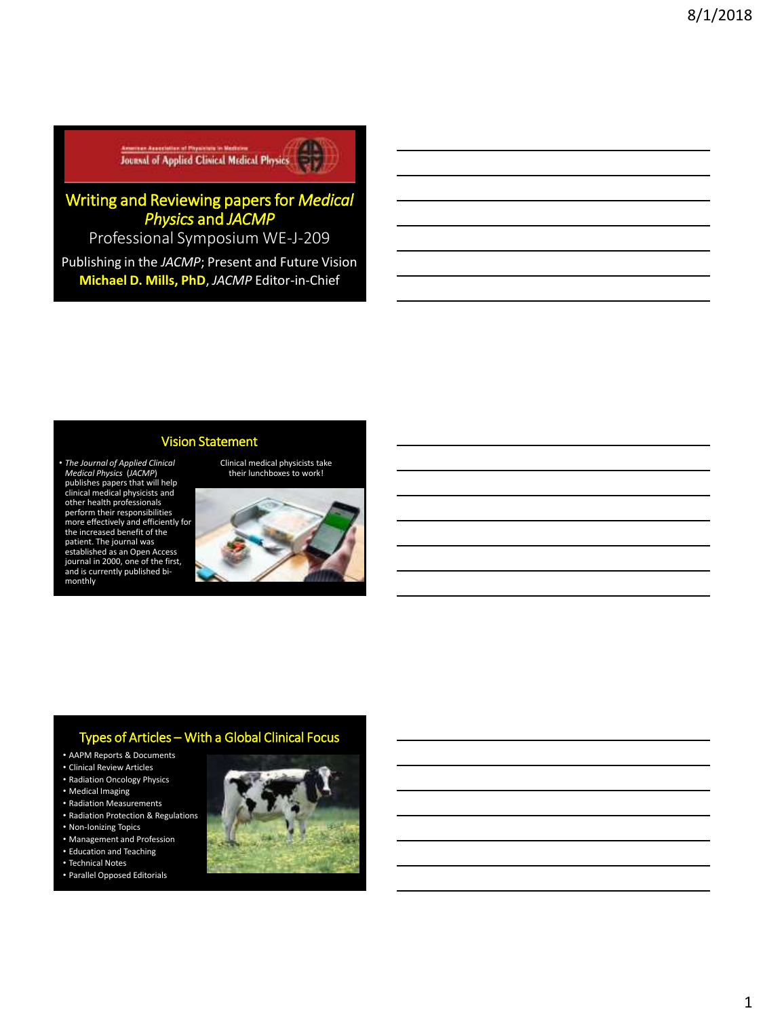**Experience Association of Properties in Medical Physics (2008)** 

# Writing and Reviewing papers for *Medical Physics* and *JACMP*

Professional Symposium WE-J-209

Publishing in the *JACMP*; Present and Future Vision **Michael D. Mills, PhD**, *JACMP* Editor-in-Chief

## Vision Statement

• *The Journal of Applied Clinical Medical Physics (JACMP*)<br>publishes papers that will help<br>clinical medical physicists and<br>other health professionals perform their responsibilities more effectively and efficiently for the increased benefit of the patient. The journal was established as an Open Access journal in 2000, one of the first, and is currently published bimonthly



Clinical medical physicists take

# Types of Articles – With a Global Clinical Focus

- AAPM Reports & Documents
- Clinical Review Articles
- Radiation Oncology Physics
- Medical Imaging
- Radiation Measurements • Radiation Protection & Regulations
- Non-Ionizing Topics
- Management and Profession
- Education and Teaching
- Technical Notes
- Parallel Opposed Editorials

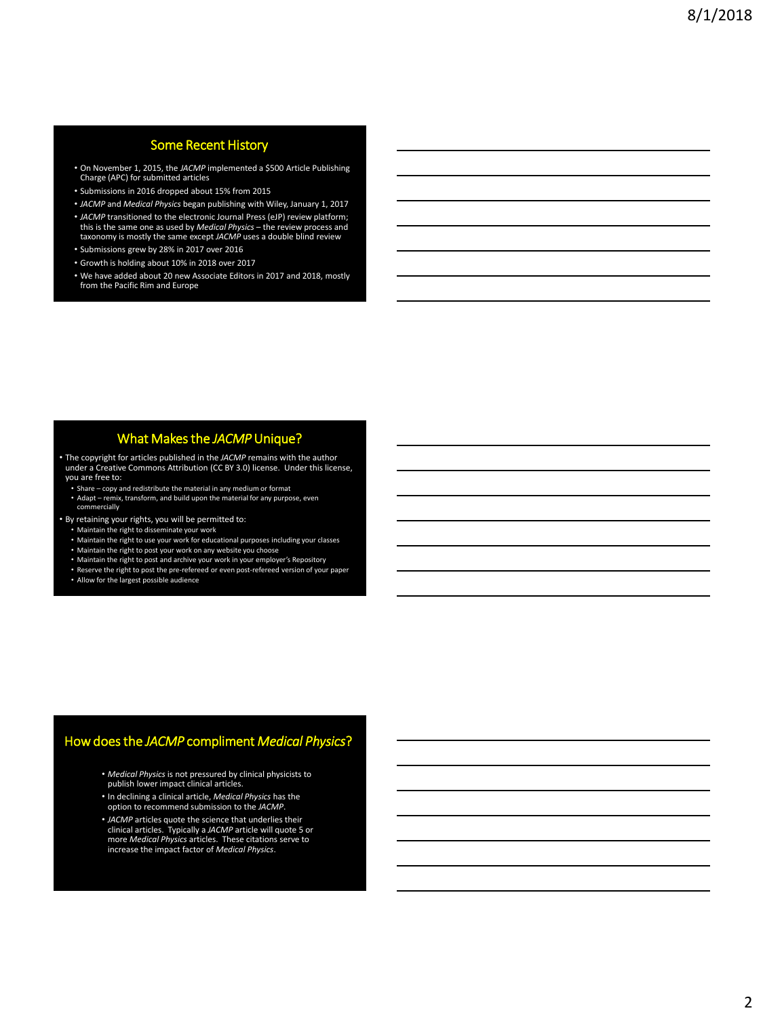# Some Recent History

- On November 1, 2015, the *JACMP* implemented a \$500 Article Publishing Charge (APC) for submitted articles
- Submissions in 2016 dropped about 15% from 2015
- *JACMP* and *Medical Physics* began publishing with Wiley, January 1, 2017 • *JACMP* transitioned to the electronic Journal Press (eJP) review platform;
- this is the same one as used by *Medical Physics* the review process and taxonomy is mostly the same except *JACMP* uses a double blind review
- Submissions grew by 28% in 2017 over 2016
- Growth is holding about 10% in 2018 over 2017
- We have added about 20 new Associate Editors in 2017 and 2018, mostly from the Pacific Rim and Europe

### What Makes the *JACMP* Unique?

• The copyright for articles published in the *JACMP* remains with the author under a Creative Commons Attribution (CC BY 3.0) license. Under this license, you are free to:

- Share copy and redistribute the material in any medium or format
- Adapt remix, transform, and build upon the material for any purpose, even
- commercially
- By retaining your rights, you will be permitted to:
	- Maintain the right to disseminate your work
	- Maintain the right to use your work for educational purposes including your classes
	-
	- Maintain the right to post your work on any website you choose Maintain the right to post and archive your work in your employer's Repository
	- Reserve the right to post the pre-refereed or even post-refereed version of your paper Allow for the largest possible audience

# How does the *JACMP* compliment *Medical Physics*?

- *Medical Physics* is not pressured by clinical physicists to publish lower impact clinical articles.
- In declining a clinical article, *Medical Physics* has the option to recommend submission to the *JACMP*.
- *JACMP* articles quote the science that underlies their clinical articles. Typically a *JACMP* article will quote 5 or more *Medical Physics* articles. These citations serve to increase the impact factor of *Medical Physics*.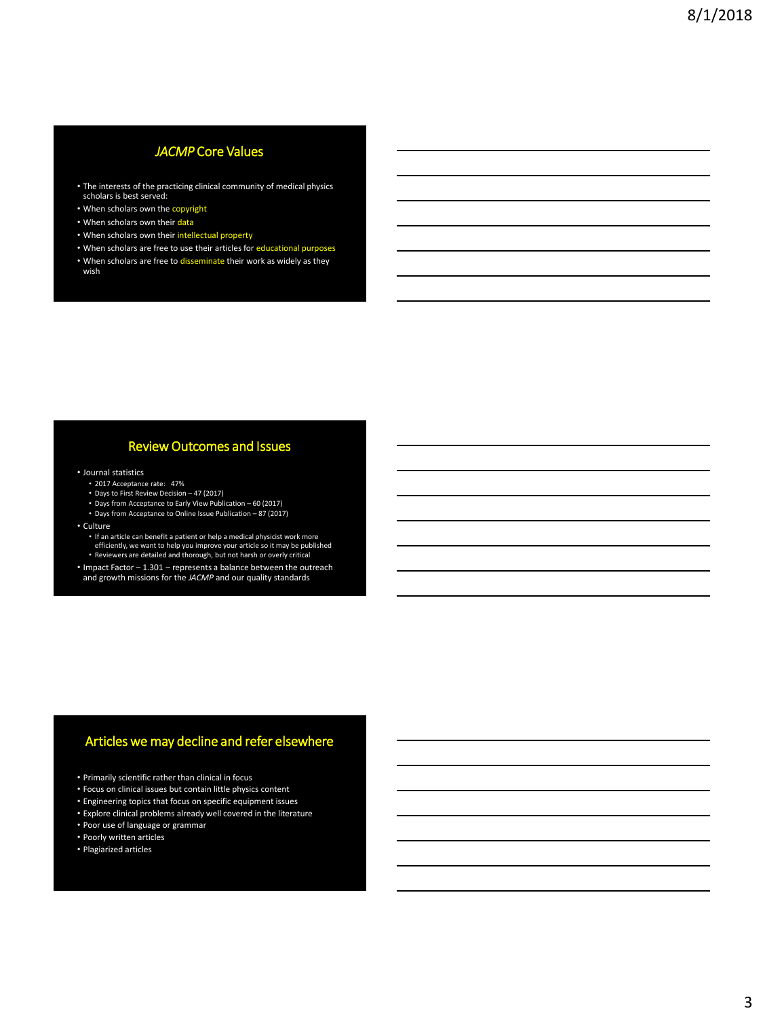# *JACMP* Core Values

- The interests of the practicing clinical community of medical physics scholars is best served:
- When scholars own the copyright
- When scholars own their data
- When scholars own their intellectual property
- When scholars are free to use their articles for educational purposes
- When scholars are free to disseminate their work as widely as they wish

### Review Outcomes and Issues

#### • Journal statistics

- 2017 Acceptance rate: 47%
- Days to First Review Decision 47 (2017)
- 
- Days from Acceptance to Early View Publication 60 (2017) Days from Acceptance to Online Issue Publication 87 (2017)
- Culture
	- If an article can benefit a patient or help a medical physicist work more efficiently, we want to help you improve your article so it may be published
	- Reviewers are detailed and thorough, but not harsh or overly critical
- Impact Factor 1.301 represents a balance between the outreach and growth missions for the *JACMP* and our quality standards

## Articles we may decline and refer elsewhere

- Primarily scientific rather than clinical in focus
- Focus on clinical issues but contain little physics content
- Engineering topics that focus on specific equipment issues
- Explore clinical problems already well covered in the literature
- Poor use of language or grammar
- Poorly written articles
- Plagiarized articles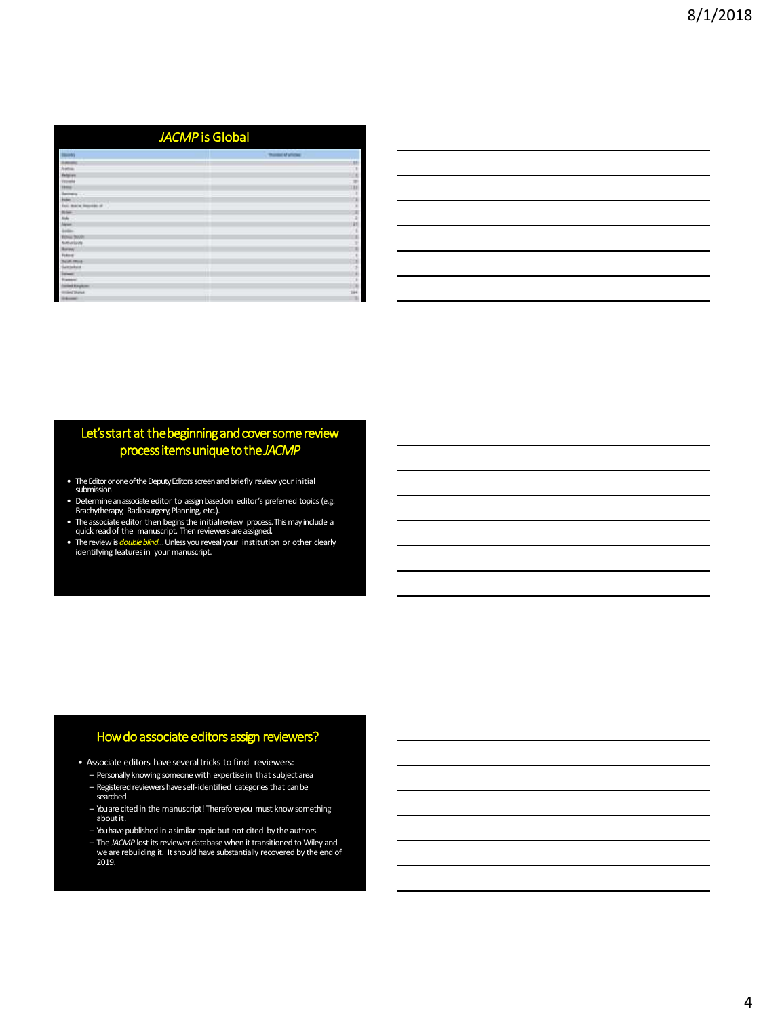| JACMP is Global               |                            |
|-------------------------------|----------------------------|
|                               | <b>TRAINING AT MTACHER</b> |
|                               | и                          |
| <b><i><u>ballista</u></i></b> | ٠                          |
| <b>Felgiven</b>               | x                          |
| <b>TECHNOL</b>                | E)                         |
| 1444                          |                            |
| <b>Sales</b>                  |                            |
| w                             | x                          |
| Est. Marie Norther of         | ×                          |
| <b>BLSK</b>                   | ×                          |
| th.                           | 3                          |
|                               | ×                          |
|                               |                            |
|                               |                            |
| ferturizers                   |                            |
| <b>Burney</b>                 |                            |
| <b>Foke of</b>                |                            |
| <b>Suite on</b>               |                            |
| <b>Late behave</b>            |                            |
| --                            |                            |
| <b><i><u>Number</u></i></b>   |                            |
| vint Region                   |                            |
| <b>ISAC District</b>          |                            |
| ---                           |                            |

# Let's start at the beginning and cover some review process items unique to the *JACMP*

- The Editor or one of the Deputy Editors screen and briefly review your initial submission
- Determine an associate editor to assign basedon editor's preferred topics (e.g. Brachytherapy, Radiosurgery, Planning, etc.).
- The associate editor then begins the initialreview process. This may include a quick read of the manuscript. Then reviewers areassigned.
- The review is *double blind*… Unless you reveal your institution or other clearly identifying features in your manuscript.

## How do associate editors assign reviewers?

- Associate editors have several tricks to find reviewers:
	- Personally knowing someone with expertisein that subjectarea – Registered reviewers have self-identified categories that can be searched
	- You are cited in the manuscript! Thereforeyou must know something aboutit.
	- You have published in a similar topic but not cited by the authors.
	- The *JACMP* lost its reviewer database when it transitioned to Wiley and we are rebuilding it. It should have substantially recovered by the end of 2019.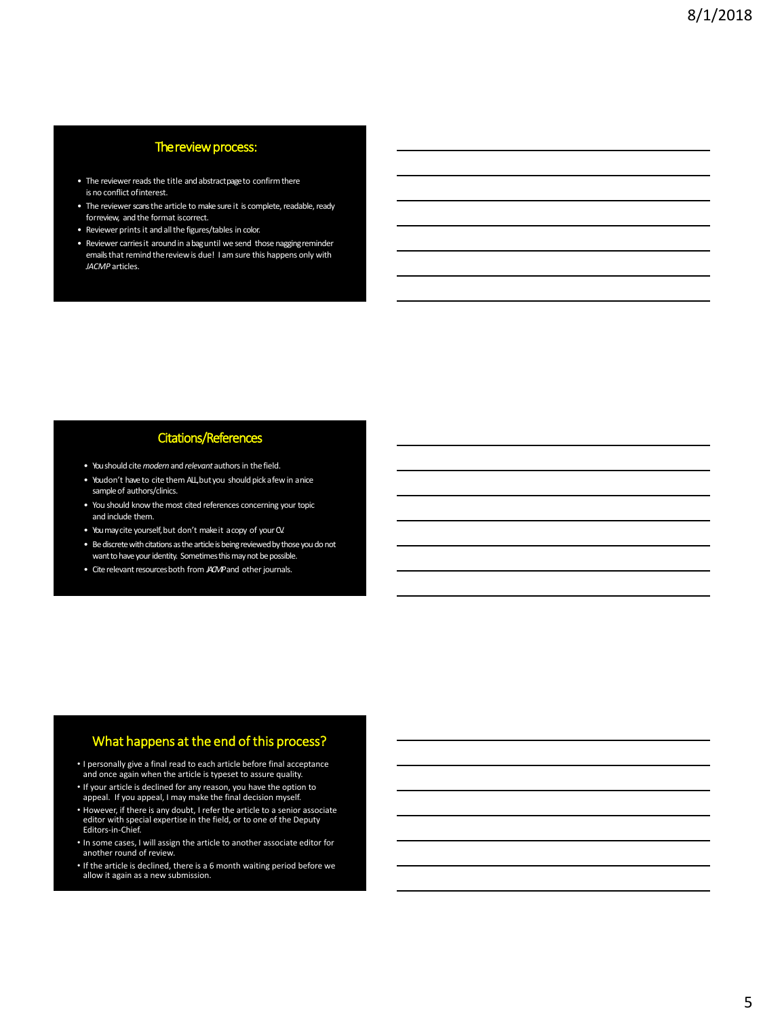### The review process:

- The reviewer reads the title and abstract page to confirm there is no conflict ofinterest.
- The reviewer scans the article to make sure it is complete, readable, ready forreview, and the format iscorrect.
- Reviewer prints it and all the figures/tables in color.
- Reviewer carries it aroundin abag until we send those nagging reminder emails that remind thereviewis due! I am sure this happens only with *JACMP* articles.

# Citations/References

- You should cite *modern* and *relevant* authors in thefield.
- Youdon't have to cite them ALL, but you should pick a few in a nice sample of authors/clinics.
- You should know the most cited references concerning your topic and include them.
- You maycite yourself, but don't make it acopy of yourCV.
- Be discrete with citations as the article is being reviewed by those you do not want to have your identity. Sometimes this may not be possible.
- Cite relevant resources both from *JACMP* and other journals.

### What happens at the end of this process?

- I personally give a final read to each article before final acceptance and once again when the article is typeset to assure quality.
- If your article is declined for any reason, you have the option to appeal. If you appeal, I may make the final decision myself.
- However, if there is any doubt, I refer the article to a senior associate editor with special expertise in the field, or to one of the Deputy Editors-in-Chief.
- In some cases, I will assign the article to another associate editor for another round of review.
- If the article is declined, there is a 6 month waiting period before we allow it again as a new submission.